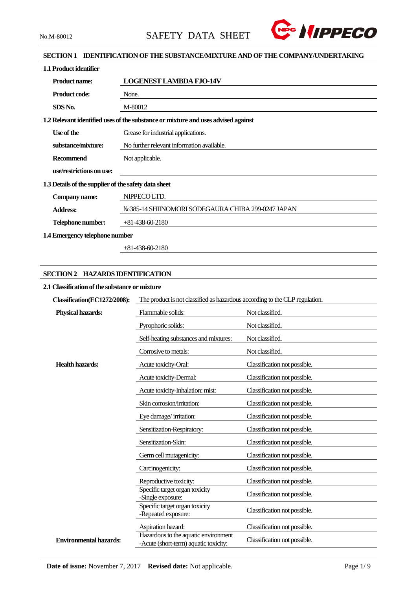

## **SECTION 1 IDENTIFICATION OF THE SUBSTANCE/MIXTURE AND OF THE COMPANY/UNDERTAKING**

| 1.1 Product identifier                               |                                                                                   |
|------------------------------------------------------|-----------------------------------------------------------------------------------|
| <b>Product name:</b>                                 | <b>LOGENEST LAMBDA FJO-14V</b>                                                    |
| <b>Product code:</b>                                 | None.                                                                             |
| SDS No.                                              | M-80012                                                                           |
|                                                      | 1.2 Relevant identified uses of the substance or mixture and uses advised against |
| Use of the                                           | Grease for industrial applications.                                               |
| substance/mixture:                                   | No further relevant information available.                                        |
| <b>Recommend</b>                                     | Not applicable.                                                                   |
| use/restrictions on use:                             |                                                                                   |
| 1.3 Details of the supplier of the safety data sheet |                                                                                   |
| Company name:                                        | NIPPECO LTD.                                                                      |
| <b>Address:</b>                                      | No.385-14 SHIINOMORI SODEGAURA CHIBA 299-0247 JAPAN                               |
| Telephone number:                                    | $+81-438-60-2180$                                                                 |
| 1.4 Emergency telephone number                       |                                                                                   |

+81-438-60-2180

## **SECTION 2 HAZARDS IDENTIFICATION**

## **2.1 Classification of the substance or mixture**

| Classification(EC1272/2008):  | The product is not classified as hazardous according to the CLP regulation.   |                              |  |  |
|-------------------------------|-------------------------------------------------------------------------------|------------------------------|--|--|
| <b>Physical hazards:</b>      | Flammable solids:                                                             | Not classified.              |  |  |
|                               | Pyrophoric solids:                                                            | Not classified.              |  |  |
|                               | Self-heating substances and mixtures:                                         | Not classified.              |  |  |
|                               | Corrosive to metals:                                                          | Not classified.              |  |  |
| <b>Health hazards:</b>        | Acute toxicity-Oral:                                                          | Classification not possible. |  |  |
|                               | Acute toxicity-Dermal:                                                        | Classification not possible. |  |  |
|                               | Acute toxicity-Inhalation: mist:                                              | Classification not possible. |  |  |
|                               | Skin corrosion/irritation:                                                    | Classification not possible. |  |  |
|                               | Eye damage/irritation:                                                        | Classification not possible. |  |  |
|                               | Sensitization-Respiratory:                                                    | Classification not possible. |  |  |
|                               | Sensitization-Skin:                                                           | Classification not possible. |  |  |
|                               | Germ cell mutagenicity:                                                       | Classification not possible. |  |  |
|                               | Carcinogenicity:                                                              | Classification not possible. |  |  |
|                               | Reproductive toxicity:                                                        | Classification not possible. |  |  |
|                               | Specific target organ toxicity<br>-Single exposure:                           | Classification not possible. |  |  |
|                               | Specific target organ toxicity<br>-Repeated exposure:                         | Classification not possible. |  |  |
|                               | Aspiration hazard:                                                            | Classification not possible. |  |  |
| <b>Environmental hazards:</b> | Hazardous to the aquatic environment<br>-Acute (short-term) aquatic toxicity: | Classification not possible. |  |  |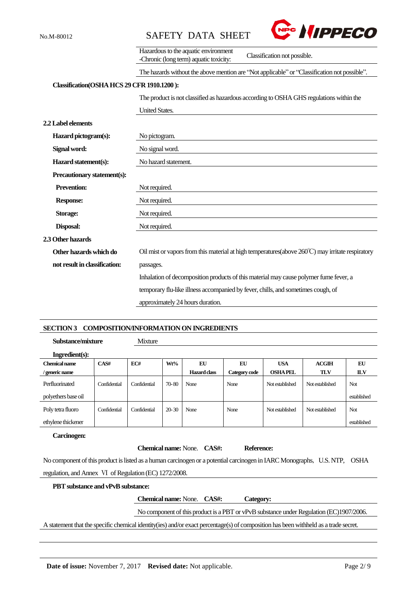



|                                            | Hazardous to the aquatic environment<br>Classification not possible.<br>-Chronic (long term) aquatic toxicity: |
|--------------------------------------------|----------------------------------------------------------------------------------------------------------------|
|                                            | The hazards without the above mention are "Not applicable" or "Classification not possible".                   |
| Classification(OSHA HCS 29 CFR 1910.1200): |                                                                                                                |
|                                            | The product is not classified as hazardous according to OSHA GHS regulations within the                        |
|                                            | <b>United States.</b>                                                                                          |
| 2.2 Label elements                         |                                                                                                                |
| Hazard pictogram(s):                       | No pictogram.                                                                                                  |
| Signal word:                               | No signal word.                                                                                                |
| Hazard statement(s):                       | No hazard statement.                                                                                           |
| Precautionary statement(s):                |                                                                                                                |
| <b>Prevention:</b>                         | Not required.                                                                                                  |
| <b>Response:</b>                           | Not required.                                                                                                  |
| Storage:                                   | Not required.                                                                                                  |
| Disposal:                                  | Not required.                                                                                                  |
| 2.3 Other hazards                          |                                                                                                                |
| Other hazards which do                     | Oil mist or vapors from this material at high temperatures (above $260^{\circ}$ C) may irritate respiratory    |
| not result in classification:              | passages.                                                                                                      |
|                                            | Inhalation of decomposition products of this material may cause polymer fume fever, a                          |
|                                            | temporary flu-like illness accompanied by fever, chills, and sometimes cough, of                               |
|                                            | approximately 24 hours duration.                                                                               |

### **SECTION 3 COMPOSITION/INFORMATION ON INGREDIENTS**

**Substance/mixture** Mixture

| Ingradient(s):      |              |              |           |                     |               |                 |                 |             |
|---------------------|--------------|--------------|-----------|---------------------|---------------|-----------------|-----------------|-------------|
| Chemical name       | CAS#         | EC#          | Wt%       | EU                  | EU            | <b>USA</b>      | ACGIH           | EU          |
| / generic name      |              |              |           | <b>Hazard class</b> | Category code | <b>OSHAPEL</b>  | <b>TLV</b>      | <b>ILV</b>  |
| Perfluorinated      | Confidential | Confidential | $70 - 80$ | None                | None          | Not established | Not established | <b>Not</b>  |
| polyethers base oil |              |              |           |                     |               |                 |                 | established |
| Poly tetra fluoro   | Confidential | Confidential | $20 - 30$ | None                | None          | Not established | Not established | <b>Not</b>  |
| ethylene thickener  |              |              |           |                     |               |                 |                 | established |

### **Carcinogen:**

 $Reference:$ 

No component of this product is listed as a human carcinogen or a potential carcinogen in IARC Monographs, U.S. NTP, OSHA regulation, and Annex Ⅵ of Regulation (EC) 1272/2008.

| <b>PBT</b> substance and vPvB substance: |                                           |  |                                                                                                                                     |  |
|------------------------------------------|-------------------------------------------|--|-------------------------------------------------------------------------------------------------------------------------------------|--|
|                                          | <b>Chemical name:</b> None. <b>CAS#</b> : |  | Category:                                                                                                                           |  |
|                                          |                                           |  | No component of this product is a PBT or vPvB substance under Regulation (EC)1907/2006.                                             |  |
|                                          |                                           |  | A statement that the specific chemical identity(ies) and/or exact percentage(s) of composition has been withheld as a trade secret. |  |
|                                          |                                           |  |                                                                                                                                     |  |
|                                          |                                           |  |                                                                                                                                     |  |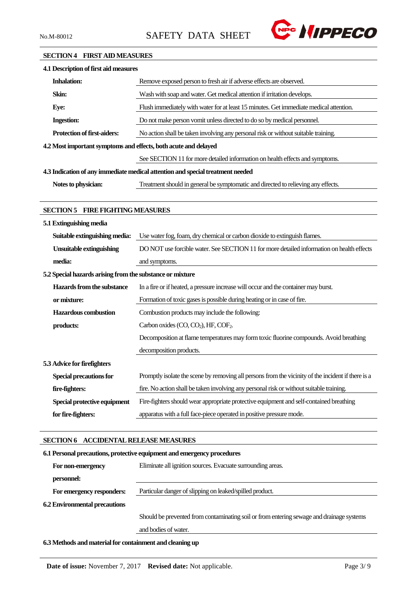

## **SECTION 4 FIRST AID MEASURES**

| 4.1 Description of first aid measures                           |                                                                                                    |
|-----------------------------------------------------------------|----------------------------------------------------------------------------------------------------|
| <b>Inhalation:</b>                                              | Remove exposed person to fresh air if adverse effects are observed.                                |
| Skin:                                                           | Wash with soap and water. Get medical attention if irritation develops.                            |
| Eye:                                                            | Flush immediately with water for at least 15 minutes. Get immediate medical attention.             |
| <b>Ingestion:</b>                                               | Do not make person vomit unless directed to do so by medical personnel.                            |
| <b>Protection of first-aiders:</b>                              | No action shall be taken involving any personal risk or without suitable training.                 |
| 4.2 Most important symptoms and effects, both acute and delayed |                                                                                                    |
|                                                                 | See SECTION 11 for more detailed information on health effects and symptoms.                       |
|                                                                 | 4.3 Indication of any immediate medical attention and special treatment needed                     |
| Notes to physician:                                             | Treatment should in general be symptomatic and directed to relieving any effects.                  |
|                                                                 |                                                                                                    |
| <b>SECTION 5 FIRE FIGHTING MEASURES</b>                         |                                                                                                    |
| 5.1 Extinguishing media                                         |                                                                                                    |
| Suitable extinguishing media:                                   | Use water fog, foam, dry chemical or carbon dioxide to extinguish flames.                          |
| <b>Unsuitable extinguishing</b>                                 | DO NOT use forcible water. See SECTION 11 for more detailed information on health effects          |
| media:                                                          | and symptoms.                                                                                      |
| 5.2 Special hazards arising from the substance or mixture       |                                                                                                    |
| Hazards from the substance                                      | In a fire or if heated, a pressure increase will occur and the container may burst.                |
| or mixture:                                                     | Formation of toxic gases is possible during heating or in case of fire.                            |
| <b>Hazardous</b> combustion                                     | Combustion products may include the following:                                                     |
| products:                                                       | Carbon oxides (CO, CO <sub>2</sub> ), HF, COF <sub>2</sub> .                                       |
|                                                                 | Decomposition at flame temperatures may form toxic fluorine compounds. Avoid breathing             |
|                                                                 | decomposition products.                                                                            |
| 5.3 Advice for firefighters                                     |                                                                                                    |
| <b>Special precautions for</b>                                  | Promptly isolate the scene by removing all persons from the vicinity of the incident if there is a |
| fire-fighters:                                                  | fire. No action shall be taken involving any personal risk or without suitable training.           |
| Special protective equipment                                    | Fire-fighters should wear appropriate protective equipment and self-contained breathing            |
| for fire-fighters:                                              | apparatus with a full face-piece operated in positive pressure mode.                               |
|                                                                 |                                                                                                    |
| SECTION 6 ACCIDENTAL RELEASE MEASURES                           |                                                                                                    |
|                                                                 | 6.1 Personal precautions, protective equipment and emergency procedures                            |
| For non-emergency                                               | Eliminate all ignition sources. Evacuate surrounding areas.                                        |

For emergency responders: Particular danger of slipping on leaked/spilled product.

**6.2 Environmental precautions**

**personnel:**

Should be prevented from contaminating soil or from entering sewage and drainage systems

and bodies of water.

**6.3 Methods and material for containment and cleaning up**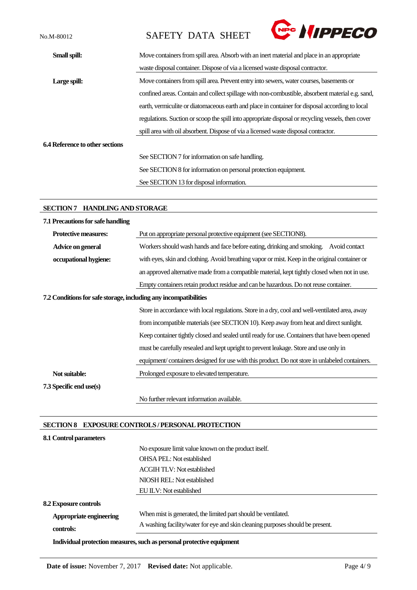No.M-80012 SAFETY DATA SHEET



| Small spill:                           | Move containers from spill area. Absorb with an inert material and place in an appropriate         |
|----------------------------------------|----------------------------------------------------------------------------------------------------|
|                                        | waste disposal container. Dispose of via a licensed waste disposal contractor.                     |
| Large spill:                           | Move containers from spill area. Prevent entry into sewers, water courses, basements or            |
|                                        | confined areas. Contain and collect spillage with non-combustible, absorbent material e.g. sand,   |
|                                        | earth, vermiculite or diatomaceous earth and place in container for disposal according to local    |
|                                        | regulations. Suction or scoop the spill into appropriate disposal or recycling vessels, then cover |
|                                        | spill area with oil absorbent. Dispose of via a licensed waste disposal contractor.                |
| <b>6.4 Reference to other sections</b> |                                                                                                    |
|                                        | See SECTION 7 for information on safe handling.                                                    |
|                                        | See SECTION 8 for information on personal protection equipment.                                    |
|                                        | See SECTION 13 for disposal information.                                                           |
|                                        |                                                                                                    |

## **SECTION 7 HANDLING AND STORAGE**

| 7.1 Precautions for safe handling                                |                                                                                                 |
|------------------------------------------------------------------|-------------------------------------------------------------------------------------------------|
| <b>Protective measures:</b>                                      | Put on appropriate personal protective equipment (see SECTION8).                                |
| Advice on general                                                | Workers should wash hands and face before eating, drinking and smoking.<br>Avoid contact        |
| occupational hygiene:                                            | with eyes, skin and clothing. Avoid breathing vapor or mist. Keep in the original container or  |
|                                                                  | an approved alternative made from a compatible material, kept tightly closed when not in use.   |
|                                                                  | Empty containers retain product residue and can be hazardous. Do not reuse container.           |
| 7.2 Conditions for safe storage, including any incompatibilities |                                                                                                 |
|                                                                  | Store in accordance with local regulations. Store in a dry, cool and well-ventilated area, away |
|                                                                  | from incompatible materials (see SECTION 10). Keep away from heat and direct sunlight.          |
|                                                                  | Keep container tightly closed and sealed until ready for use. Containers that have been opened  |
|                                                                  | must be carefully resealed and kept upright to prevent leakage. Store and use only in           |
|                                                                  | equipment/containers designed for use with this product. Do not store in unlabeled containers.  |
| Not suitable:                                                    | Prolonged exposure to elevated temperature.                                                     |
| 7.3 Specific end use(s)                                          |                                                                                                 |
|                                                                  | No further relevant information available.                                                      |

# **SECTION 8 EXPOSURE CONTROLS / PERSONAL PROTECTION**

| 8.1 Control parameters       |                                                                                |
|------------------------------|--------------------------------------------------------------------------------|
|                              | No exposure limit value known on the product itself.                           |
|                              | <b>OHSA PEL:</b> Not established                                               |
|                              | <b>ACGIH TLV: Not established</b>                                              |
|                              | NIOSH REL: Not established                                                     |
|                              | EU ILV: Not established                                                        |
| <b>8.2 Exposure controls</b> |                                                                                |
| Appropriate engineering      | When mist is generated, the limited part should be ventilated.                 |
| controls:                    | A washing facility/water for eye and skin cleaning purposes should be present. |
|                              | Individual protection measures, such as personal protective equipment          |

**Date of issue:** November 7, 2017 **Revised date:** Not applicable. Page 4/9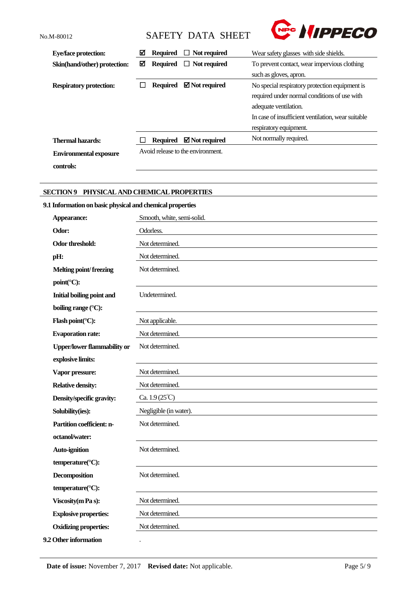**controls:**

# No.M-80012 SAFETY DATA SHEET



| <b>Eye/face protection:</b>    | ☑ | <b>Required</b> | $\Box$ Not required               | Wear safety glasses with side shields.             |  |
|--------------------------------|---|-----------------|-----------------------------------|----------------------------------------------------|--|
| Skin(hand/other) protection:   | ⊠ | <b>Required</b> | $\Box$ Not required               | To prevent contact, wear impervious clothing       |  |
|                                |   |                 |                                   | such as gloves, apron.                             |  |
| <b>Respiratory protection:</b> |   | Required        | $\boxtimes$ Not required          | No special respiratory protection equipment is     |  |
|                                |   |                 |                                   | required under normal conditions of use with       |  |
|                                |   |                 |                                   | adequate ventilation.                              |  |
|                                |   |                 |                                   | In case of insufficient ventilation, wear suitable |  |
|                                |   |                 |                                   | respiratory equipment.                             |  |
| <b>Thermal hazards:</b>        |   | <b>Required</b> | $\boxtimes$ Not required          | Not normally required.                             |  |
| <b>Environmental exposure</b>  |   |                 | Avoid release to the environment. |                                                    |  |

## **SECTION 9 PHYSICAL AND CHEMICAL PROPERTIES**

# **9.1 Information on basic physical and chemical properties**

| Appearance:                        | Smooth, white, semi-solid.    |
|------------------------------------|-------------------------------|
| Odor:                              | Odorless.                     |
| <b>Odor threshold:</b>             | Not determined.               |
| pH:                                | Not determined.               |
| <b>Melting point/freezing</b>      | Not determined.               |
| point(°C):                         |                               |
| <b>Initial boiling point and</b>   | Undetermined.                 |
| boiling range (°C):                |                               |
| Flash point(°C):                   | Not applicable.               |
| <b>Evaporation rate:</b>           | Not determined.               |
| <b>Upper/lower flammability or</b> | Not determined.               |
| explosive limits:                  |                               |
| Vapor pressure:                    | Not determined.               |
| <b>Relative density:</b>           | Not determined.               |
| Density/specific gravity:          | Ca. $1.9(25^{\circ}\text{C})$ |
| Solubility(ies):                   | Negligible (in water).        |
| <b>Partition coefficient: n-</b>   | Not determined.               |
| octanol/water:                     |                               |
| Auto-ignition                      | Not determined.               |
| temperature(°C):                   |                               |
| Decomposition                      | Not determined.               |
| temperature(°C):                   |                               |
| Viscosity (m Pa s):                | Not determined.               |
| <b>Explosive properties:</b>       | Not determined.               |
| <b>Oxidizing properties:</b>       | Not determined.               |
| 9.2 Other information              | $\ddot{\phantom{0}}$          |
|                                    |                               |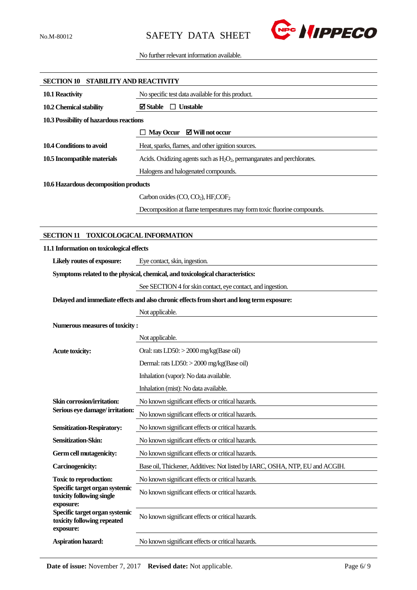

No further relevant information available.

| SECTION 10 STABILITY AND REACTIVITY                                        |                                                                                           |  |
|----------------------------------------------------------------------------|-------------------------------------------------------------------------------------------|--|
| 10.1 Reactivity                                                            | No specific test data available for this product.                                         |  |
| 10.2 Chemical stability                                                    | $\boxtimes$ Stable<br>$\Box$ Unstable                                                     |  |
| 10.3 Possibility of hazardous reactions                                    |                                                                                           |  |
|                                                                            | $\Box$ May Occur $\Box$ Will not occur                                                    |  |
| 10.4 Conditions to avoid                                                   | Heat, sparks, flames, and other ignition sources.                                         |  |
| 10.5 Incompatible materials                                                | Acids. Oxidizing agents such as $H_2O_2$ , permanganates and perchlorates.                |  |
|                                                                            | Halogens and halogenated compounds.                                                       |  |
| 10.6 Hazardous decomposition products                                      |                                                                                           |  |
|                                                                            | Carbon oxides (CO, CO <sub>2</sub> ), HF,COF <sub>2</sub>                                 |  |
|                                                                            | Decomposition at flame temperatures may form toxic fluorine compounds.                    |  |
|                                                                            |                                                                                           |  |
| <b>SECTION 11</b>                                                          | <b>TOXICOLOGICAL INFORMATION</b>                                                          |  |
| 11.1 Information on toxicological effects                                  |                                                                                           |  |
| Likely routes of exposure:                                                 | Eye contact, skin, ingestion.                                                             |  |
|                                                                            | Symptoms related to the physical, chemical, and toxicological characteristics:            |  |
|                                                                            | See SECTION 4 for skin contact, eye contact, and ingestion.                               |  |
|                                                                            | Delayed and immediate effects and also chronic effects from short and long term exposure: |  |
|                                                                            | Not applicable.                                                                           |  |
| Numerous measures of toxicity:                                             |                                                                                           |  |
|                                                                            | Not applicable.                                                                           |  |
| <b>Acute toxicity:</b>                                                     | Oral: rats $LD50$ : $>$ 2000 mg/kg(Base oil)                                              |  |
|                                                                            | Dermal: rats LD50: > 2000 mg/kg(Base oil)                                                 |  |
|                                                                            | Inhalation (vapor): No data available.                                                    |  |
|                                                                            | Inhalation (mist): No data available.                                                     |  |
| Skin corrosion/irritation:                                                 | No known significant effects or critical hazards.                                         |  |
| Serious eye damage/irritation:                                             | No known significant effects or critical hazards.                                         |  |
| <b>Sensitization-Respiratory:</b>                                          | No known significant effects or critical hazards.                                         |  |
| Sensitization-Skin:                                                        | No known significant effects or critical hazards.                                         |  |
| Germ cell mutagenicity:                                                    | No known significant effects or critical hazards.                                         |  |
| <b>Carcinogenicity:</b>                                                    | Base oil, Thickener, Additives: Not listed by IARC, OSHA, NTP, EU and ACGIH.              |  |
| <b>Toxic to reproduction:</b>                                              | No known significant effects or critical hazards.                                         |  |
| Specific target organ systemic<br>toxicity following single<br>exposure:   | No known significant effects or critical hazards.                                         |  |
| Specific target organ systemic<br>toxicity following repeated<br>exposure: | No known significant effects or critical hazards.                                         |  |
| Aspiration hazard:                                                         | No known significant effects or critical hazards.                                         |  |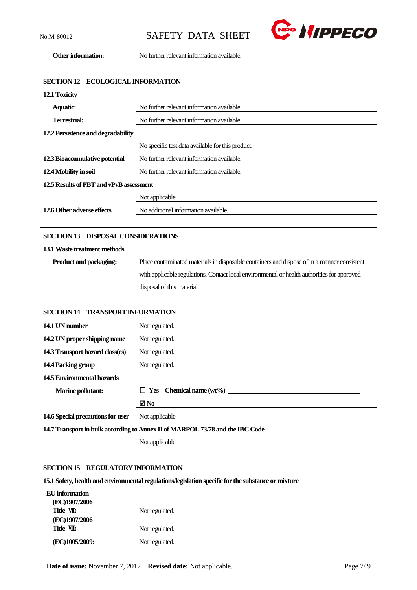

**Other information:** No further relevant information available.

| <b>ECOLOGICAL INFORMATION</b><br><b>SECTION 12</b> |                                                                                             |  |
|----------------------------------------------------|---------------------------------------------------------------------------------------------|--|
| 12.1 Toxicity                                      |                                                                                             |  |
| <b>Aquatic:</b>                                    | No further relevant information available.                                                  |  |
| <b>Terrestrial:</b>                                | No further relevant information available.                                                  |  |
| 12.2 Persistence and degradability                 |                                                                                             |  |
|                                                    | No specific test data available for this product.                                           |  |
| 12.3 Bioaccumulative potential                     | No further relevant information available.                                                  |  |
| 12.4 Mobility in soil                              | No further relevant information available.                                                  |  |
| 12.5 Results of PBT and vPvB assessment            |                                                                                             |  |
|                                                    | Not applicable.                                                                             |  |
| 12.6 Other adverse effects                         | No additional information available.                                                        |  |
|                                                    |                                                                                             |  |
| SECTION 13 DISPOSAL CONSIDERATIONS                 |                                                                                             |  |
| 13.1 Waste treatment methods                       |                                                                                             |  |
| Product and packaging:                             | Place contaminated materials in disposable containers and dispose of in a manner consistent |  |
|                                                    | with applicable regulations. Contact local environmental or health authorities for approved |  |
|                                                    | disposal of this material.                                                                  |  |
|                                                    |                                                                                             |  |
| <b>SECTION 14</b><br><b>TRANSPORT INFORMATION</b>  |                                                                                             |  |
| 14.1 UN number                                     | Not regulated.                                                                              |  |
| 14.2 UN proper shipping name                       | Not regulated.                                                                              |  |
| 14.3 Transport hazard class(es)                    | Not regulated.                                                                              |  |
| 14.4 Packing group                                 | Not regulated.                                                                              |  |
| <b>14.5 Environmental hazards</b>                  |                                                                                             |  |

| <b>Marine pollutant:</b>                                                      | $\Box$ Yes Chemical name $(wt\%)$ |  |
|-------------------------------------------------------------------------------|-----------------------------------|--|
|                                                                               | ⊠ No                              |  |
| <b>14.6 Special precautions for user</b> Not applicable.                      |                                   |  |
| 14.7 Transport in bulk according to Annex II of MARPOL 73/78 and the IBC Code |                                   |  |

Not applicable.

## **SECTION 15 REGULATORY INFORMATION**

**15.1 Safety, health and environmental regulations/legislation specific for the substance or mixture**

| EU information |                |
|----------------|----------------|
| (EC)1907/2006  |                |
| Title VII:     | Not regulated. |
| (EC)1907/2006  |                |
| Title VIII:    | Not regulated. |
| (EC)1005/2009: | Not regulated. |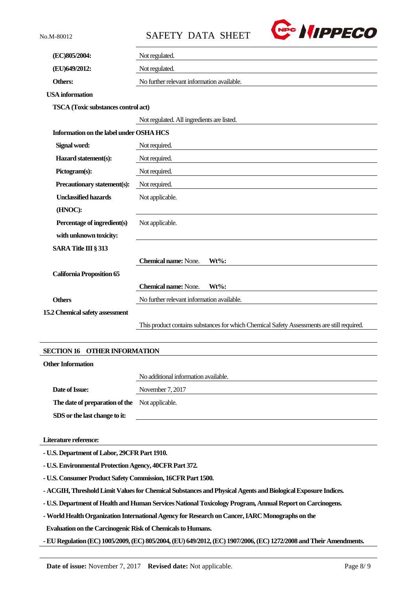No.M-80012 SAFETY DATA SHEET



| (EC)805/2004:                                 | Not regulated.                                                                             |  |
|-----------------------------------------------|--------------------------------------------------------------------------------------------|--|
| (EU)649/2012:                                 | Not regulated.                                                                             |  |
| Others:                                       | No further relevant information available.                                                 |  |
| <b>USA</b> information                        |                                                                                            |  |
| TSCA (Toxic substances control act)           |                                                                                            |  |
|                                               | Not regulated. All ingredients are listed.                                                 |  |
| Information on the label under OSHA HCS       |                                                                                            |  |
| Signal word:                                  | Not required.                                                                              |  |
| Hazard statement(s):                          | Not required.                                                                              |  |
| Pictogram(s):                                 | Not required.                                                                              |  |
| Precautionary statement(s):                   | Not required.                                                                              |  |
| <b>Unclassified hazards</b>                   | Not applicable.                                                                            |  |
| (HNOC):                                       |                                                                                            |  |
| Percentage of ingredient(s)                   | Not applicable.                                                                            |  |
| with unknown toxicity:                        |                                                                                            |  |
| <b>SARA Title III § 313</b>                   |                                                                                            |  |
|                                               | <b>Chemical name: None.</b><br>$Wt\%$ :                                                    |  |
| <b>California Proposition 65</b>              |                                                                                            |  |
|                                               | <b>Chemical name: None.</b><br>$Wt\%$ :                                                    |  |
| <b>Others</b>                                 | No further relevant information available.                                                 |  |
| 15.2 Chemical safety assessment               |                                                                                            |  |
|                                               | This product contains substances for which Chemical Safety Assessments are still required. |  |
|                                               |                                                                                            |  |
| <b>SECTION 16</b><br><b>OTHER INFORMATION</b> |                                                                                            |  |
| <b>Other Information</b>                      |                                                                                            |  |
|                                               | No additional information available.                                                       |  |
| Date of Issue:                                | November 7, 2017                                                                           |  |
| The date of preparation of the                | Not applicable.                                                                            |  |
| SDS or the last change to it:                 |                                                                                            |  |
|                                               |                                                                                            |  |
| Literature reference:                         |                                                                                            |  |
| - U.S. Department of Labor, 29CFR Part 1910.  |                                                                                            |  |

**- U.S. Environmental Protection Agency, 40CFR Part 372.**

**- U.S. Consumer Product Safety Commission, 16CFR Part 1500.**

**- ACGIH, Threshold Limit Values for Chemical Substances and Physical Agents and Biological Exposure Indices.**

**- U.S. Department of Health and Human Services National Toxicology Program, Annual Report on Carcinogens.**

**-World Health Organization International Agency for Research on Cancer, IARC Monographs on the**

**Evaluation on the Carcinogenic Risk of Chemicals to Humans.**

**-EU Regulation (EC) 1005/2009, (EC) 805/2004,(EU) 649/2012,(EC) 1907/2006,(EC) 1272/2008 and Their Amendments.**